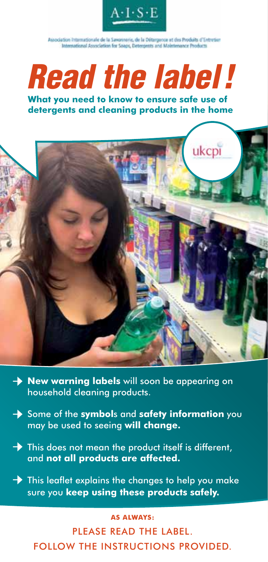

Association Internationale de la Savorinerie, de la Détergence et des Produits d'Entretien International Association for Spaps, Deterpents and Maintenance Products.

*Read the label !*

**What you need to know to ensure safe use of detergents and cleaning products in the home**



- **→** New warning labels will soon be appearing on household cleaning products.
- **→** Some of the **symbols** and **safety information** you may be used to seeing **will change.**
- **→** This does not mean the product itself is different, and **not all products are affected.**
- This leaflet explains the changes to help you make **→** sure you **keep using these products safely.**

#### **As always:**

Please read the label. follow the instructions provided.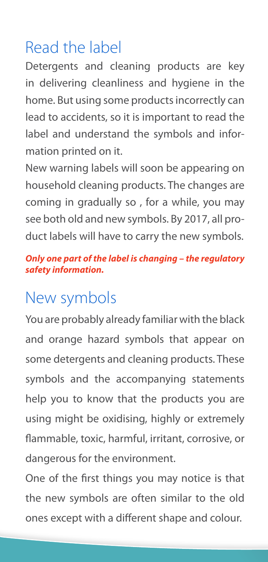## Read the label

Detergents and cleaning products are key in delivering cleanliness and hygiene in the home. But using some products incorrectly can lead to accidents, so it is important to read the label and understand the symbols and information printed on it.

New warning labels will soon be appearing on household cleaning products. The changes are coming in gradually so , for a while, you may see both old and new symbols. By 2017, all product labels will have to carry the new symbols.

#### *Only one part of the label is changing – the regulatory safety information.*

## New symbols

You are probably already familiar with the black and orange hazard symbols that appear on some detergents and cleaning products. These symbols and the accompanying statements help you to know that the products you are using might be oxidising, highly or extremely flammable, toxic, harmful, irritant, corrosive, or dangerous for the environment.

One of the first things you may notice is that the new symbols are often similar to the old ones except with a different shape and colour.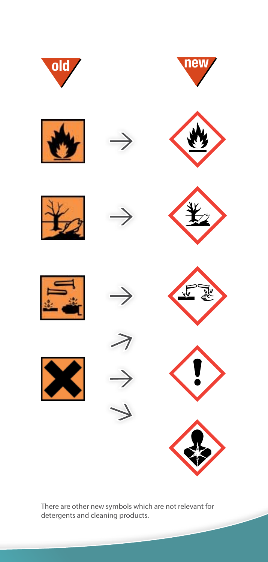

There are other new symbols which are not relevant for detergents and cleaning products.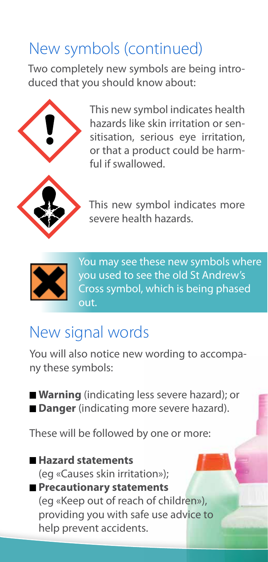## New symbols (continued)

Two completely new symbols are being introduced that you should know about:



This new symbol indicates health hazards like skin irritation or sensitisation, serious eye irritation, or that a product could be harmful if swallowed.



This new symbol indicates more severe health hazards.



You may see these new symbols where you used to see the old St Andrew's Cross symbol, which is being phased out.

## New signal words

You will also notice new wording to accompany these symbols:

■ **Warning** (indicating less severe hazard); or **Danger** (indicating more severe hazard).

These will be followed by one or more:

#### **Hazard statements**

(eg «Causes skin irritation»); **Precautionary statements**

(eg «Keep out of reach of children»), providing you with safe use advice to help prevent accidents.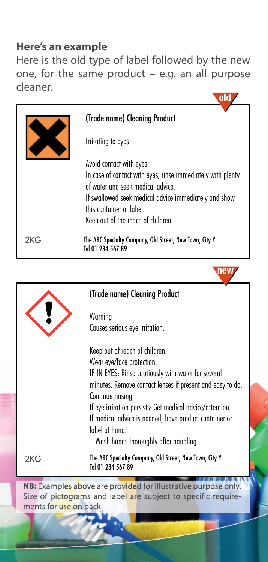#### **Here's an example**

Here is the old type of label followed by the new one, for the same product – e.g. an all purpose cleaner.



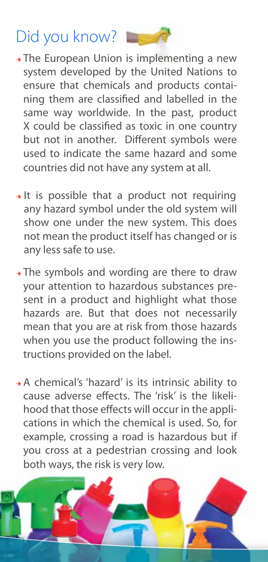# Did you know?

**→** The European Union is implementing a new system developed by the United Nations to ensure that chemicals and products containing them are classified and labelled in the same way worldwide. In the past, product X could be classified as toxic in one country but not in another. Different symbols were used to indicate the same hazard and some countries did not have any system at all.

- **→** It is possible that a product not requiring any hazard symbol under the old system will show one under the new system. This does not mean the product itself has changed or is any less safe to use.
- **→** The symbols and wording are there to draw your attention to hazardous substances present in a product and highlight what those hazards are. But that does not necessarily mean that you are at risk from those hazards when you use the product following the instructions provided on the label.
- **→** A chemical's 'hazard' is its intrinsic ability to cause adverse effects. The 'risk' is the likelihood that those effects will occur in the applications in which the chemical is used. So, for example, crossing a road is hazardous but if you cross at a pedestrian crossing and look both ways, the risk is very low.

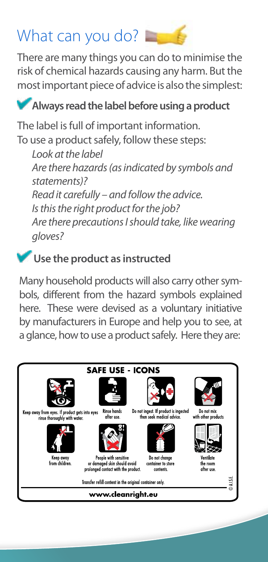# What can you do?

There are many things you can do to minimise the risk of chemical hazards causing any harm. But the most important piece of advice is also the simplest:

### **Always read the label before using a product**

The label is full of important information. To use a product safely, follow these steps:

 *Look at the label Are there hazards (as indicated by symbols and statements)? Read it carefully – and follow the advice. Is this the right product for the job? Are there precautions I should take, like wearing gloves?*

### **Use the product as instructed**

Many household products will also carry other symbols, different from the hazard symbols explained here. These were devised as a voluntary initiative by manufacturers in Europe and help you to see, at a glance, how to use a product safely. Here they are: